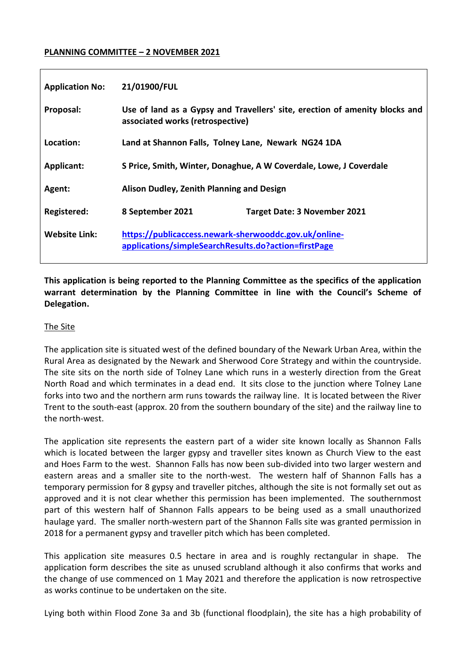### **PLANNING COMMITTEE – 2 NOVEMBER 2021**

| <b>Application No:</b> | 21/01900/FUL                                                                                                    |                                     |
|------------------------|-----------------------------------------------------------------------------------------------------------------|-------------------------------------|
| Proposal:              | Use of land as a Gypsy and Travellers' site, erection of amenity blocks and<br>associated works (retrospective) |                                     |
| Location:              | Land at Shannon Falls, Tolney Lane, Newark NG24 1DA                                                             |                                     |
| <b>Applicant:</b>      | S Price, Smith, Winter, Donaghue, A W Coverdale, Lowe, J Coverdale                                              |                                     |
| Agent:                 | Alison Dudley, Zenith Planning and Design                                                                       |                                     |
| Registered:            | 8 September 2021                                                                                                | <b>Target Date: 3 November 2021</b> |
| <b>Website Link:</b>   | https://publicaccess.newark-sherwooddc.gov.uk/online-<br>applications/simpleSearchResults.do?action=firstPage   |                                     |

**This application is being reported to the Planning Committee as the specifics of the application warrant determination by the Planning Committee in line with the Council's Scheme of Delegation.**

### The Site

The application site is situated west of the defined boundary of the Newark Urban Area, within the Rural Area as designated by the Newark and Sherwood Core Strategy and within the countryside. The site sits on the north side of Tolney Lane which runs in a westerly direction from the Great North Road and which terminates in a dead end. It sits close to the junction where Tolney Lane forks into two and the northern arm runs towards the railway line. It is located between the River Trent to the south-east (approx. 20 from the southern boundary of the site) and the railway line to the north-west.

The application site represents the eastern part of a wider site known locally as Shannon Falls which is located between the larger gypsy and traveller sites known as Church View to the east and Hoes Farm to the west. Shannon Falls has now been sub-divided into two larger western and eastern areas and a smaller site to the north-west. The western half of Shannon Falls has a temporary permission for 8 gypsy and traveller pitches, although the site is not formally set out as approved and it is not clear whether this permission has been implemented. The southernmost part of this western half of Shannon Falls appears to be being used as a small unauthorized haulage yard. The smaller north-western part of the Shannon Falls site was granted permission in 2018 for a permanent gypsy and traveller pitch which has been completed.

This application site measures 0.5 hectare in area and is roughly rectangular in shape. The application form describes the site as unused scrubland although it also confirms that works and the change of use commenced on 1 May 2021 and therefore the application is now retrospective as works continue to be undertaken on the site.

Lying both within Flood Zone 3a and 3b (functional floodplain), the site has a high probability of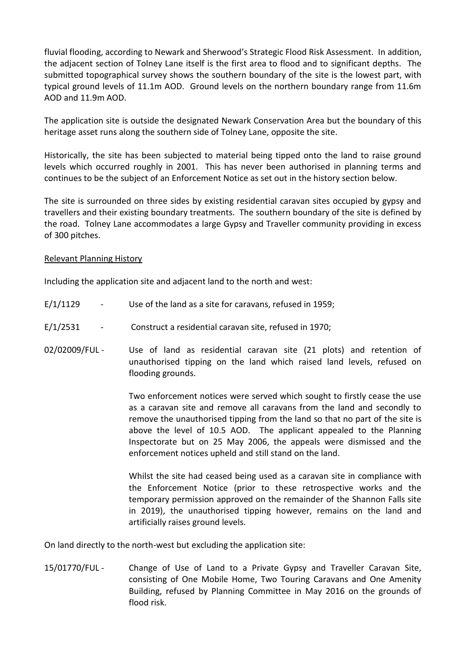fluvial flooding, according to Newark and Sherwood's Strategic Flood Risk Assessment. In addition, the adjacent section of Tolney Lane itself is the first area to flood and to significant depths. The submitted topographical survey shows the southern boundary of the site is the lowest part, with typical ground levels of 11.1m AOD. Ground levels on the northern boundary range from 11.6m AOD and 11.9m AOD.

The application site is outside the designated Newark Conservation Area but the boundary of this heritage asset runs along the southern side of Tolney Lane, opposite the site.

Historically, the site has been subjected to material being tipped onto the land to raise ground levels which occurred roughly in 2001. This has never been authorised in planning terms and continues to be the subject of an Enforcement Notice as set out in the history section below.

The site is surrounded on three sides by existing residential caravan sites occupied by gypsy and travellers and their existing boundary treatments. The southern boundary of the site is defined by the road. Tolney Lane accommodates a large Gypsy and Traveller community providing in excess of 300 pitches.

### Relevant Planning History

Including the application site and adjacent land to the north and west:

- $E/1/1129$  Use of the land as a site for caravans, refused in 1959;
- E/1/2531 Construct a residential caravan site, refused in 1970;
- 02/02009/FUL Use of land as residential caravan site (21 plots) and retention of unauthorised tipping on the land which raised land levels, refused on flooding grounds.

Two enforcement notices were served which sought to firstly cease the use as a caravan site and remove all caravans from the land and secondly to remove the unauthorised tipping from the land so that no part of the site is above the level of 10.5 AOD. The applicant appealed to the Planning Inspectorate but on 25 May 2006, the appeals were dismissed and the enforcement notices upheld and still stand on the land.

Whilst the site had ceased being used as a caravan site in compliance with the Enforcement Notice (prior to these retrospective works and the temporary permission approved on the remainder of the Shannon Falls site in 2019), the unauthorised tipping however, remains on the land and artificially raises ground levels.

On land directly to the north-west but excluding the application site:

15/01770/FUL - Change of Use of Land to a Private Gypsy and Traveller Caravan Site, consisting of One Mobile Home, Two Touring Caravans and One Amenity Building, refused by Planning Committee in May 2016 on the grounds of flood risk.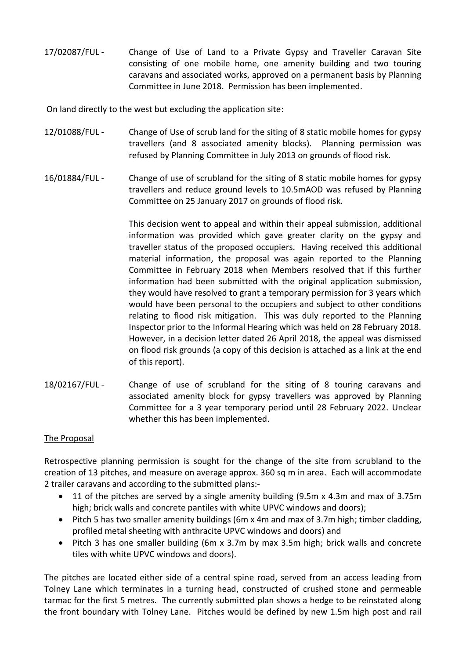17/02087/FUL - Change of Use of Land to a Private Gypsy and Traveller Caravan Site consisting of one mobile home, one amenity building and two touring caravans and associated works, approved on a permanent basis by Planning Committee in June 2018. Permission has been implemented.

On land directly to the west but excluding the application site:

- 12/01088/FUL Change of Use of scrub land for the siting of 8 static mobile homes for gypsy travellers (and 8 associated amenity blocks). Planning permission was refused by Planning Committee in July 2013 on grounds of flood risk.
- 16/01884/FUL Change of use of scrubland for the siting of 8 static mobile homes for gypsy travellers and reduce ground levels to 10.5mAOD was refused by Planning Committee on 25 January 2017 on grounds of flood risk.

This decision went to appeal and within their appeal submission, additional information was provided which gave greater clarity on the gypsy and traveller status of the proposed occupiers. Having received this additional material information, the proposal was again reported to the Planning Committee in February 2018 when Members resolved that if this further information had been submitted with the original application submission, they would have resolved to grant a temporary permission for 3 years which would have been personal to the occupiers and subject to other conditions relating to flood risk mitigation. This was duly reported to the Planning Inspector prior to the Informal Hearing which was held on 28 February 2018. However, in a decision letter dated 26 April 2018, the appeal was dismissed on flood risk grounds (a copy of this decision is attached as a link at the end of this report).

18/02167/FUL - Change of use of scrubland for the siting of 8 touring caravans and associated amenity block for gypsy travellers was approved by Planning Committee for a 3 year temporary period until 28 February 2022. Unclear whether this has been implemented.

# The Proposal

Retrospective planning permission is sought for the change of the site from scrubland to the creation of 13 pitches, and measure on average approx. 360 sq m in area. Each will accommodate 2 trailer caravans and according to the submitted plans:-

- 11 of the pitches are served by a single amenity building (9.5m x 4.3m and max of 3.75m high; brick walls and concrete pantiles with white UPVC windows and doors);
- Pitch 5 has two smaller amenity buildings (6m x 4m and max of 3.7m high; timber cladding, profiled metal sheeting with anthracite UPVC windows and doors) and
- Pitch 3 has one smaller building (6m x 3.7m by max 3.5m high; brick walls and concrete tiles with white UPVC windows and doors).

The pitches are located either side of a central spine road, served from an access leading from Tolney Lane which terminates in a turning head, constructed of crushed stone and permeable tarmac for the first 5 metres. The currently submitted plan shows a hedge to be reinstated along the front boundary with Tolney Lane. Pitches would be defined by new 1.5m high post and rail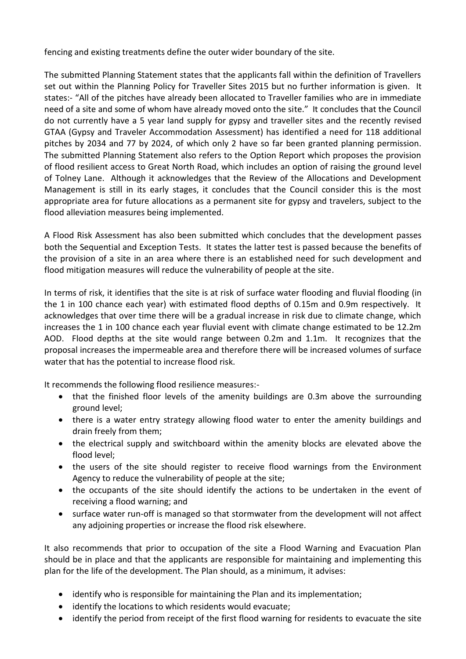fencing and existing treatments define the outer wider boundary of the site.

The submitted Planning Statement states that the applicants fall within the definition of Travellers set out within the Planning Policy for Traveller Sites 2015 but no further information is given. It states:- "All of the pitches have already been allocated to Traveller families who are in immediate need of a site and some of whom have already moved onto the site." It concludes that the Council do not currently have a 5 year land supply for gypsy and traveller sites and the recently revised GTAA (Gypsy and Traveler Accommodation Assessment) has identified a need for 118 additional pitches by 2034 and 77 by 2024, of which only 2 have so far been granted planning permission. The submitted Planning Statement also refers to the Option Report which proposes the provision of flood resilient access to Great North Road, which includes an option of raising the ground level of Tolney Lane. Although it acknowledges that the Review of the Allocations and Development Management is still in its early stages, it concludes that the Council consider this is the most appropriate area for future allocations as a permanent site for gypsy and travelers, subject to the flood alleviation measures being implemented.

A Flood Risk Assessment has also been submitted which concludes that the development passes both the Sequential and Exception Tests. It states the latter test is passed because the benefits of the provision of a site in an area where there is an established need for such development and flood mitigation measures will reduce the vulnerability of people at the site.

In terms of risk, it identifies that the site is at risk of surface water flooding and fluvial flooding (in the 1 in 100 chance each year) with estimated flood depths of 0.15m and 0.9m respectively. It acknowledges that over time there will be a gradual increase in risk due to climate change, which increases the 1 in 100 chance each year fluvial event with climate change estimated to be 12.2m AOD. Flood depths at the site would range between 0.2m and 1.1m. It recognizes that the proposal increases the impermeable area and therefore there will be increased volumes of surface water that has the potential to increase flood risk.

It recommends the following flood resilience measures:-

- that the finished floor levels of the amenity buildings are 0.3m above the surrounding ground level;
- there is a water entry strategy allowing flood water to enter the amenity buildings and drain freely from them;
- the electrical supply and switchboard within the amenity blocks are elevated above the flood level;
- the users of the site should register to receive flood warnings from the Environment Agency to reduce the vulnerability of people at the site;
- the occupants of the site should identify the actions to be undertaken in the event of receiving a flood warning; and
- surface water run-off is managed so that stormwater from the development will not affect any adjoining properties or increase the flood risk elsewhere.

It also recommends that prior to occupation of the site a Flood Warning and Evacuation Plan should be in place and that the applicants are responsible for maintaining and implementing this plan for the life of the development. The Plan should, as a minimum, it advises:

- identify who is responsible for maintaining the Plan and its implementation;
- identify the locations to which residents would evacuate;
- identify the period from receipt of the first flood warning for residents to evacuate the site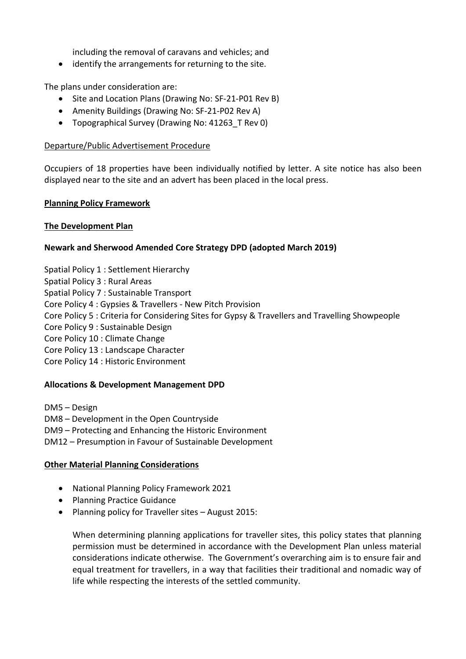including the removal of caravans and vehicles; and

• identify the arrangements for returning to the site.

The plans under consideration are:

- Site and Location Plans (Drawing No: SF-21-P01 Rev B)
- Amenity Buildings (Drawing No: SF-21-P02 Rev A)
- Topographical Survey (Drawing No: 41263 T Rev 0)

### Departure/Public Advertisement Procedure

Occupiers of 18 properties have been individually notified by letter. A site notice has also been displayed near to the site and an advert has been placed in the local press.

### **Planning Policy Framework**

## **The Development Plan**

## **Newark and Sherwood Amended Core Strategy DPD (adopted March 2019)**

Spatial Policy 1 : Settlement Hierarchy Spatial Policy 3 : Rural Areas Spatial Policy 7 : Sustainable Transport Core Policy 4 : Gypsies & Travellers - New Pitch Provision Core Policy 5 : Criteria for Considering Sites for Gypsy & Travellers and Travelling Showpeople Core Policy 9 : Sustainable Design Core Policy 10 : Climate Change Core Policy 13 : Landscape Character Core Policy 14 : Historic Environment

### **Allocations & Development Management DPD**

DM5 – Design DM8 – Development in the Open Countryside DM9 – Protecting and Enhancing the Historic Environment DM12 – Presumption in Favour of Sustainable Development

### **Other Material Planning Considerations**

- National Planning Policy Framework 2021
- Planning Practice Guidance
- Planning policy for Traveller sites August 2015:

When determining planning applications for traveller sites, this policy states that planning permission must be determined in accordance with the Development Plan unless material considerations indicate otherwise. The Government's overarching aim is to ensure fair and equal treatment for travellers, in a way that facilities their traditional and nomadic way of life while respecting the interests of the settled community.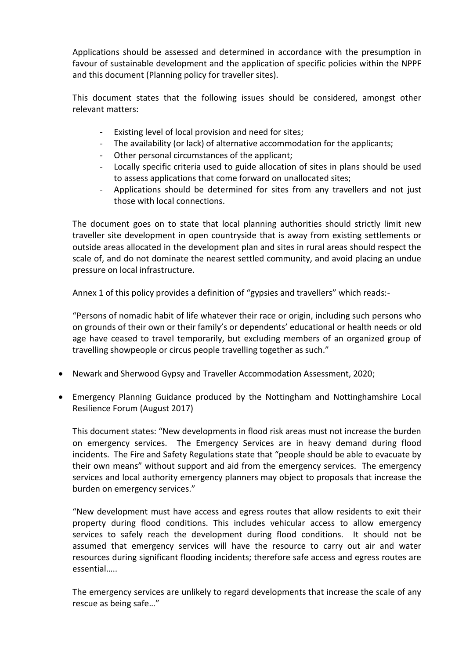Applications should be assessed and determined in accordance with the presumption in favour of sustainable development and the application of specific policies within the NPPF and this document (Planning policy for traveller sites).

This document states that the following issues should be considered, amongst other relevant matters:

- Existing level of local provision and need for sites;
- The availability (or lack) of alternative accommodation for the applicants;
- Other personal circumstances of the applicant;
- Locally specific criteria used to guide allocation of sites in plans should be used to assess applications that come forward on unallocated sites;
- Applications should be determined for sites from any travellers and not just those with local connections.

The document goes on to state that local planning authorities should strictly limit new traveller site development in open countryside that is away from existing settlements or outside areas allocated in the development plan and sites in rural areas should respect the scale of, and do not dominate the nearest settled community, and avoid placing an undue pressure on local infrastructure.

Annex 1 of this policy provides a definition of "gypsies and travellers" which reads:-

"Persons of nomadic habit of life whatever their race or origin, including such persons who on grounds of their own or their family's or dependents' educational or health needs or old age have ceased to travel temporarily, but excluding members of an organized group of travelling showpeople or circus people travelling together as such."

- Newark and Sherwood Gypsy and Traveller Accommodation Assessment, 2020;
- Emergency Planning Guidance produced by the Nottingham and Nottinghamshire Local Resilience Forum (August 2017)

This document states: "New developments in flood risk areas must not increase the burden on emergency services. The Emergency Services are in heavy demand during flood incidents. The Fire and Safety Regulations state that "people should be able to evacuate by their own means" without support and aid from the emergency services. The emergency services and local authority emergency planners may object to proposals that increase the burden on emergency services."

"New development must have access and egress routes that allow residents to exit their property during flood conditions. This includes vehicular access to allow emergency services to safely reach the development during flood conditions. It should not be assumed that emergency services will have the resource to carry out air and water resources during significant flooding incidents; therefore safe access and egress routes are essential…..

The emergency services are unlikely to regard developments that increase the scale of any rescue as being safe…"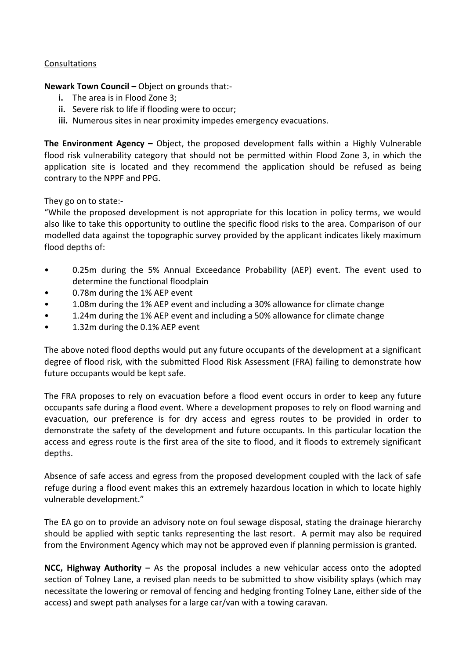## **Consultations**

**Newark Town Council –** Object on grounds that:-

- **i.** The area is in Flood Zone 3;
- **ii.** Severe risk to life if flooding were to occur;
- **iii.** Numerous sites in near proximity impedes emergency evacuations.

**The Environment Agency –** Object, the proposed development falls within a Highly Vulnerable flood risk vulnerability category that should not be permitted within Flood Zone 3, in which the application site is located and they recommend the application should be refused as being contrary to the NPPF and PPG.

They go on to state:-

"While the proposed development is not appropriate for this location in policy terms, we would also like to take this opportunity to outline the specific flood risks to the area. Comparison of our modelled data against the topographic survey provided by the applicant indicates likely maximum flood depths of:

- 0.25m during the 5% Annual Exceedance Probability (AEP) event. The event used to determine the functional floodplain
- 0.78m during the 1% AEP event
- 1.08m during the 1% AEP event and including a 30% allowance for climate change
- 1.24m during the 1% AEP event and including a 50% allowance for climate change
- 1.32m during the 0.1% AEP event

The above noted flood depths would put any future occupants of the development at a significant degree of flood risk, with the submitted Flood Risk Assessment (FRA) failing to demonstrate how future occupants would be kept safe.

The FRA proposes to rely on evacuation before a flood event occurs in order to keep any future occupants safe during a flood event. Where a development proposes to rely on flood warning and evacuation, our preference is for dry access and egress routes to be provided in order to demonstrate the safety of the development and future occupants. In this particular location the access and egress route is the first area of the site to flood, and it floods to extremely significant depths.

Absence of safe access and egress from the proposed development coupled with the lack of safe refuge during a flood event makes this an extremely hazardous location in which to locate highly vulnerable development."

The EA go on to provide an advisory note on foul sewage disposal, stating the drainage hierarchy should be applied with septic tanks representing the last resort. A permit may also be required from the Environment Agency which may not be approved even if planning permission is granted.

**NCC, Highway Authority –** As the proposal includes a new vehicular access onto the adopted section of Tolney Lane, a revised plan needs to be submitted to show visibility splays (which may necessitate the lowering or removal of fencing and hedging fronting Tolney Lane, either side of the access) and swept path analyses for a large car/van with a towing caravan.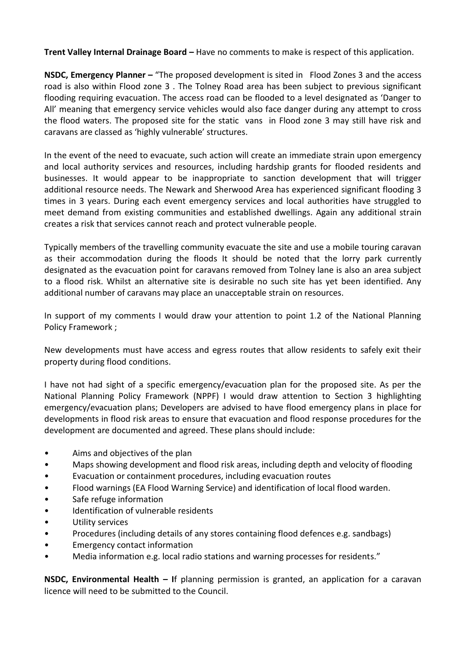**Trent Valley Internal Drainage Board –** Have no comments to make is respect of this application.

**NSDC, Emergency Planner –** "The proposed development is sited in Flood Zones 3 and the access road is also within Flood zone 3 . The Tolney Road area has been subject to previous significant flooding requiring evacuation. The access road can be flooded to a level designated as 'Danger to All' meaning that emergency service vehicles would also face danger during any attempt to cross the flood waters. The proposed site for the static vans in Flood zone 3 may still have risk and caravans are classed as 'highly vulnerable' structures.

In the event of the need to evacuate, such action will create an immediate strain upon emergency and local authority services and resources, including hardship grants for flooded residents and businesses. It would appear to be inappropriate to sanction development that will trigger additional resource needs. The Newark and Sherwood Area has experienced significant flooding 3 times in 3 years. During each event emergency services and local authorities have struggled to meet demand from existing communities and established dwellings. Again any additional strain creates a risk that services cannot reach and protect vulnerable people.

Typically members of the travelling community evacuate the site and use a mobile touring caravan as their accommodation during the floods It should be noted that the lorry park currently designated as the evacuation point for caravans removed from Tolney lane is also an area subject to a flood risk. Whilst an alternative site is desirable no such site has yet been identified. Any additional number of caravans may place an unacceptable strain on resources.

In support of my comments I would draw your attention to point 1.2 of the National Planning Policy Framework ;

New developments must have access and egress routes that allow residents to safely exit their property during flood conditions.

I have not had sight of a specific emergency/evacuation plan for the proposed site. As per the National Planning Policy Framework (NPPF) I would draw attention to Section 3 highlighting emergency/evacuation plans; Developers are advised to have flood emergency plans in place for developments in flood risk areas to ensure that evacuation and flood response procedures for the development are documented and agreed. These plans should include:

- Aims and objectives of the plan
- Maps showing development and flood risk areas, including depth and velocity of flooding
- Evacuation or containment procedures, including evacuation routes
- Flood warnings (EA Flood Warning Service) and identification of local flood warden.
- Safe refuge information
- Identification of vulnerable residents
- Utility services
- Procedures (including details of any stores containing flood defences e.g. sandbags)
- Emergency contact information
- Media information e.g. local radio stations and warning processes for residents."

**NSDC, Environmental Health – I**f planning permission is granted, an application for a caravan licence will need to be submitted to the Council.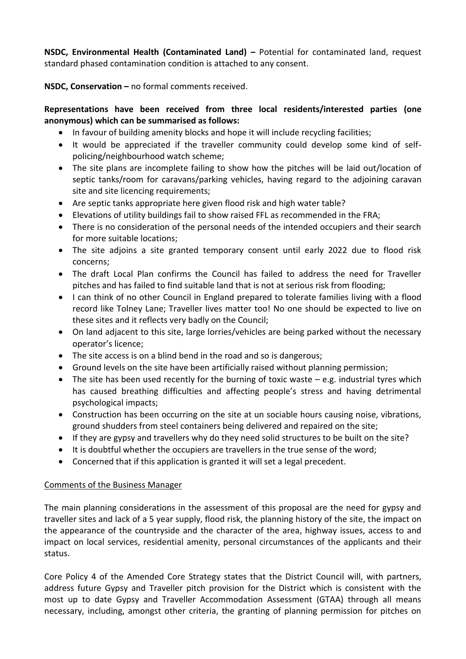**NSDC, Environmental Health (Contaminated Land) –** Potential for contaminated land, request standard phased contamination condition is attached to any consent.

**NSDC, Conservation –** no formal comments received.

# **Representations have been received from three local residents/interested parties (one anonymous) which can be summarised as follows:**

- In favour of building amenity blocks and hope it will include recycling facilities;
- It would be appreciated if the traveller community could develop some kind of selfpolicing/neighbourhood watch scheme;
- The site plans are incomplete failing to show how the pitches will be laid out/location of septic tanks/room for caravans/parking vehicles, having regard to the adjoining caravan site and site licencing requirements;
- Are septic tanks appropriate here given flood risk and high water table?
- Elevations of utility buildings fail to show raised FFL as recommended in the FRA;
- There is no consideration of the personal needs of the intended occupiers and their search for more suitable locations;
- The site adjoins a site granted temporary consent until early 2022 due to flood risk concerns;
- The draft Local Plan confirms the Council has failed to address the need for Traveller pitches and has failed to find suitable land that is not at serious risk from flooding;
- I can think of no other Council in England prepared to tolerate families living with a flood record like Tolney Lane; Traveller lives matter too! No one should be expected to live on these sites and it reflects very badly on the Council;
- On land adjacent to this site, large lorries/vehicles are being parked without the necessary operator's licence;
- The site access is on a blind bend in the road and so is dangerous;
- Ground levels on the site have been artificially raised without planning permission;
- The site has been used recently for the burning of toxic waste  $-e.g.$  industrial tyres which has caused breathing difficulties and affecting people's stress and having detrimental psychological impacts;
- Construction has been occurring on the site at un sociable hours causing noise, vibrations, ground shudders from steel containers being delivered and repaired on the site;
- If they are gypsy and travellers why do they need solid structures to be built on the site?
- It is doubtful whether the occupiers are travellers in the true sense of the word;
- Concerned that if this application is granted it will set a legal precedent.

# Comments of the Business Manager

The main planning considerations in the assessment of this proposal are the need for gypsy and traveller sites and lack of a 5 year supply, flood risk, the planning history of the site, the impact on the appearance of the countryside and the character of the area, highway issues, access to and impact on local services, residential amenity, personal circumstances of the applicants and their status.

Core Policy 4 of the Amended Core Strategy states that the District Council will, with partners, address future Gypsy and Traveller pitch provision for the District which is consistent with the most up to date Gypsy and Traveller Accommodation Assessment (GTAA) through all means necessary, including, amongst other criteria, the granting of planning permission for pitches on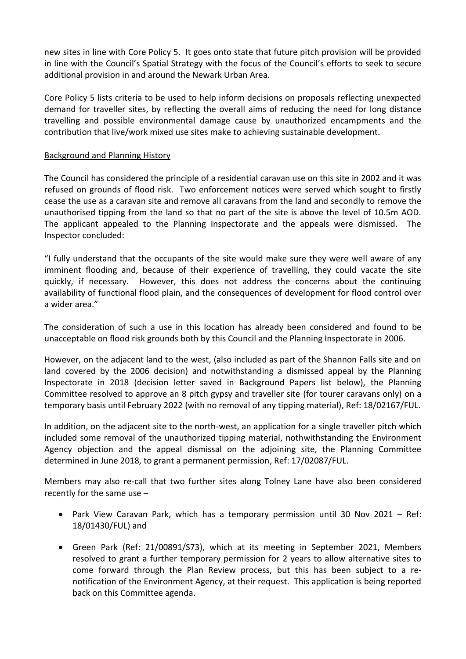new sites in line with Core Policy 5. It goes onto state that future pitch provision will be provided in line with the Council's Spatial Strategy with the focus of the Council's efforts to seek to secure additional provision in and around the Newark Urban Area.

Core Policy 5 lists criteria to be used to help inform decisions on proposals reflecting unexpected demand for traveller sites, by reflecting the overall aims of reducing the need for long distance travelling and possible environmental damage cause by unauthorized encampments and the contribution that live/work mixed use sites make to achieving sustainable development.

## Background and Planning History

The Council has considered the principle of a residential caravan use on this site in 2002 and it was refused on grounds of flood risk. Two enforcement notices were served which sought to firstly cease the use as a caravan site and remove all caravans from the land and secondly to remove the unauthorised tipping from the land so that no part of the site is above the level of 10.5m AOD. The applicant appealed to the Planning Inspectorate and the appeals were dismissed. The Inspector concluded:

"I fully understand that the occupants of the site would make sure they were well aware of any imminent flooding and, because of their experience of travelling, they could vacate the site quickly, if necessary. However, this does not address the concerns about the continuing availability of functional flood plain, and the consequences of development for flood control over a wider area."

The consideration of such a use in this location has already been considered and found to be unacceptable on flood risk grounds both by this Council and the Planning Inspectorate in 2006.

However, on the adjacent land to the west, (also included as part of the Shannon Falls site and on land covered by the 2006 decision) and notwithstanding a dismissed appeal by the Planning Inspectorate in 2018 (decision letter saved in Background Papers list below), the Planning Committee resolved to approve an 8 pitch gypsy and traveller site (for tourer caravans only) on a temporary basis until February 2022 (with no removal of any tipping material), Ref: 18/02167/FUL.

In addition, on the adjacent site to the north-west, an application for a single traveller pitch which included some removal of the unauthorized tipping material, nothwithstanding the Environment Agency objection and the appeal dismissal on the adjoining site, the Planning Committee determined in June 2018, to grant a permanent permission, Ref: 17/02087/FUL.

Members may also re-call that two further sites along Tolney Lane have also been considered recently for the same use –

- Park View Caravan Park, which has a temporary permission until 30 Nov 2021 Ref: 18/01430/FUL) and
- Green Park (Ref: 21/00891/S73), which at its meeting in September 2021, Members resolved to grant a further temporary permission for 2 years to allow alternative sites to come forward through the Plan Review process, but this has been subject to a renotification of the Environment Agency, at their request. This application is being reported back on this Committee agenda.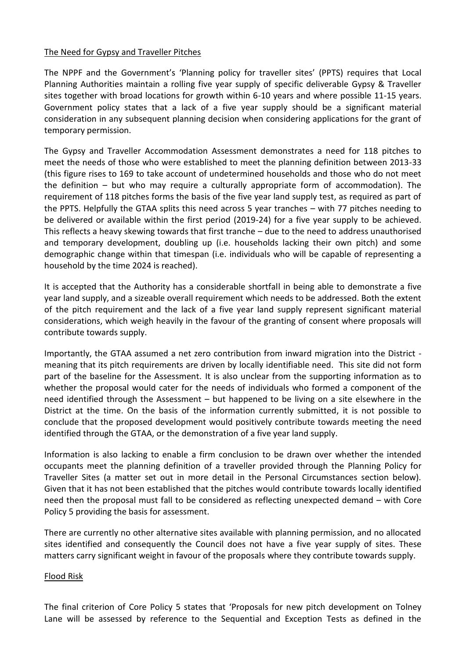### The Need for Gypsy and Traveller Pitches

The NPPF and the Government's 'Planning policy for traveller sites' (PPTS) requires that Local Planning Authorities maintain a rolling five year supply of specific deliverable Gypsy & Traveller sites together with broad locations for growth within 6-10 years and where possible 11-15 years. Government policy states that a lack of a five year supply should be a significant material consideration in any subsequent planning decision when considering applications for the grant of temporary permission.

The Gypsy and Traveller Accommodation Assessment demonstrates a need for 118 pitches to meet the needs of those who were established to meet the planning definition between 2013-33 (this figure rises to 169 to take account of undetermined households and those who do not meet the definition – but who may require a culturally appropriate form of accommodation). The requirement of 118 pitches forms the basis of the five year land supply test, as required as part of the PPTS. Helpfully the GTAA splits this need across 5 year tranches – with 77 pitches needing to be delivered or available within the first period (2019-24) for a five year supply to be achieved. This reflects a heavy skewing towards that first tranche – due to the need to address unauthorised and temporary development, doubling up (i.e. households lacking their own pitch) and some demographic change within that timespan (i.e. individuals who will be capable of representing a household by the time 2024 is reached).

It is accepted that the Authority has a considerable shortfall in being able to demonstrate a five year land supply, and a sizeable overall requirement which needs to be addressed. Both the extent of the pitch requirement and the lack of a five year land supply represent significant material considerations, which weigh heavily in the favour of the granting of consent where proposals will contribute towards supply.

Importantly, the GTAA assumed a net zero contribution from inward migration into the District meaning that its pitch requirements are driven by locally identifiable need. This site did not form part of the baseline for the Assessment. It is also unclear from the supporting information as to whether the proposal would cater for the needs of individuals who formed a component of the need identified through the Assessment – but happened to be living on a site elsewhere in the District at the time. On the basis of the information currently submitted, it is not possible to conclude that the proposed development would positively contribute towards meeting the need identified through the GTAA, or the demonstration of a five year land supply.

Information is also lacking to enable a firm conclusion to be drawn over whether the intended occupants meet the planning definition of a traveller provided through the Planning Policy for Traveller Sites (a matter set out in more detail in the Personal Circumstances section below). Given that it has not been established that the pitches would contribute towards locally identified need then the proposal must fall to be considered as reflecting unexpected demand – with Core Policy 5 providing the basis for assessment.

There are currently no other alternative sites available with planning permission, and no allocated sites identified and consequently the Council does not have a five year supply of sites. These matters carry significant weight in favour of the proposals where they contribute towards supply.

### Flood Risk

The final criterion of Core Policy 5 states that 'Proposals for new pitch development on Tolney Lane will be assessed by reference to the Sequential and Exception Tests as defined in the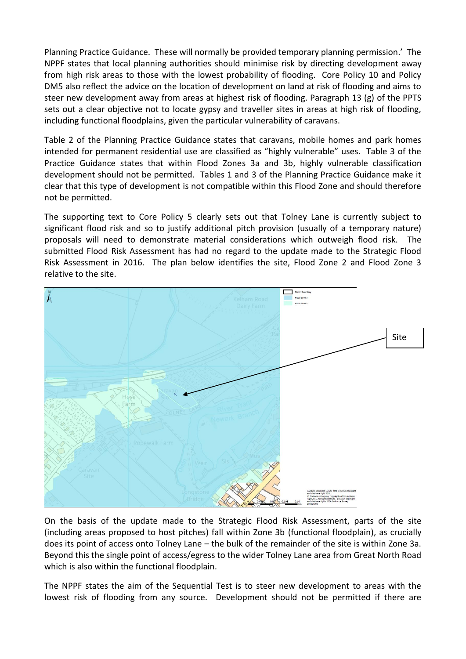Planning Practice Guidance. These will normally be provided temporary planning permission.' The NPPF states that local planning authorities should minimise risk by directing development away from high risk areas to those with the lowest probability of flooding. Core Policy 10 and Policy DM5 also reflect the advice on the location of development on land at risk of flooding and aims to steer new development away from areas at highest risk of flooding. Paragraph 13 (g) of the PPTS sets out a clear objective not to locate gypsy and traveller sites in areas at high risk of flooding, including functional floodplains, given the particular vulnerability of caravans.

Table 2 of the Planning Practice Guidance states that caravans, mobile homes and park homes intended for permanent residential use are classified as "highly vulnerable" uses. Table 3 of the Practice Guidance states that within Flood Zones 3a and 3b, highly vulnerable classification development should not be permitted. Tables 1 and 3 of the Planning Practice Guidance make it clear that this type of development is not compatible within this Flood Zone and should therefore not be permitted.

The supporting text to Core Policy 5 clearly sets out that Tolney Lane is currently subject to significant flood risk and so to justify additional pitch provision (usually of a temporary nature) proposals will need to demonstrate material considerations which outweigh flood risk. The submitted Flood Risk Assessment has had no regard to the update made to the Strategic Flood Risk Assessment in 2016. The plan below identifies the site, Flood Zone 2 and Flood Zone 3 relative to the site.



On the basis of the update made to the Strategic Flood Risk Assessment, parts of the site (including areas proposed to host pitches) fall within Zone 3b (functional floodplain), as crucially does its point of access onto Tolney Lane – the bulk of the remainder of the site is within Zone 3a. Beyond this the single point of access/egress to the wider Tolney Lane area from Great North Road which is also within the functional floodplain.

The NPPF states the aim of the Sequential Test is to steer new development to areas with the lowest risk of flooding from any source. Development should not be permitted if there are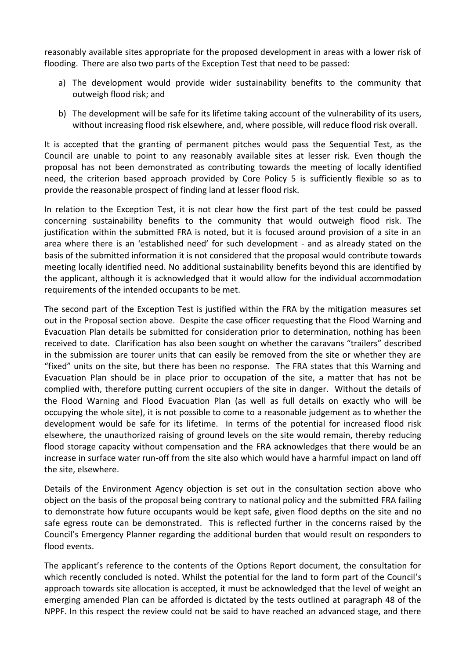reasonably available sites appropriate for the proposed development in areas with a lower risk of flooding. There are also two parts of the Exception Test that need to be passed:

- a) The development would provide wider sustainability benefits to the community that outweigh flood risk; and
- b) The development will be safe for its lifetime taking account of the vulnerability of its users, without increasing flood risk elsewhere, and, where possible, will reduce flood risk overall.

It is accepted that the granting of permanent pitches would pass the Sequential Test, as the Council are unable to point to any reasonably available sites at lesser risk. Even though the proposal has not been demonstrated as contributing towards the meeting of locally identified need, the criterion based approach provided by Core Policy 5 is sufficiently flexible so as to provide the reasonable prospect of finding land at lesser flood risk.

In relation to the Exception Test, it is not clear how the first part of the test could be passed concerning sustainability benefits to the community that would outweigh flood risk. The justification within the submitted FRA is noted, but it is focused around provision of a site in an area where there is an 'established need' for such development - and as already stated on the basis of the submitted information it is not considered that the proposal would contribute towards meeting locally identified need. No additional sustainability benefits beyond this are identified by the applicant, although it is acknowledged that it would allow for the individual accommodation requirements of the intended occupants to be met.

The second part of the Exception Test is justified within the FRA by the mitigation measures set out in the Proposal section above. Despite the case officer requesting that the Flood Warning and Evacuation Plan details be submitted for consideration prior to determination, nothing has been received to date. Clarification has also been sought on whether the caravans "trailers" described in the submission are tourer units that can easily be removed from the site or whether they are "fixed" units on the site, but there has been no response. The FRA states that this Warning and Evacuation Plan should be in place prior to occupation of the site, a matter that has not be complied with, therefore putting current occupiers of the site in danger. Without the details of the Flood Warning and Flood Evacuation Plan (as well as full details on exactly who will be occupying the whole site), it is not possible to come to a reasonable judgement as to whether the development would be safe for its lifetime. In terms of the potential for increased flood risk elsewhere, the unauthorized raising of ground levels on the site would remain, thereby reducing flood storage capacity without compensation and the FRA acknowledges that there would be an increase in surface water run-off from the site also which would have a harmful impact on land off the site, elsewhere.

Details of the Environment Agency objection is set out in the consultation section above who object on the basis of the proposal being contrary to national policy and the submitted FRA failing to demonstrate how future occupants would be kept safe, given flood depths on the site and no safe egress route can be demonstrated. This is reflected further in the concerns raised by the Council's Emergency Planner regarding the additional burden that would result on responders to flood events.

The applicant's reference to the contents of the Options Report document, the consultation for which recently concluded is noted. Whilst the potential for the land to form part of the Council's approach towards site allocation is accepted, it must be acknowledged that the level of weight an emerging amended Plan can be afforded is dictated by the tests outlined at paragraph 48 of the NPPF. In this respect the review could not be said to have reached an advanced stage, and there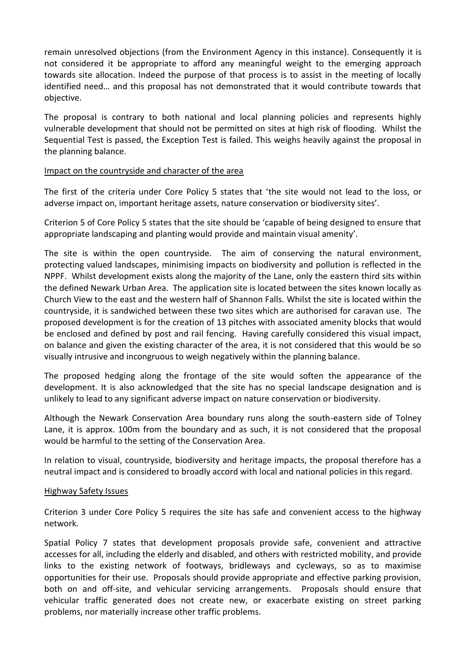remain unresolved objections (from the Environment Agency in this instance). Consequently it is not considered it be appropriate to afford any meaningful weight to the emerging approach towards site allocation. Indeed the purpose of that process is to assist in the meeting of locally identified need… and this proposal has not demonstrated that it would contribute towards that objective.

The proposal is contrary to both national and local planning policies and represents highly vulnerable development that should not be permitted on sites at high risk of flooding. Whilst the Sequential Test is passed, the Exception Test is failed. This weighs heavily against the proposal in the planning balance.

### Impact on the countryside and character of the area

The first of the criteria under Core Policy 5 states that 'the site would not lead to the loss, or adverse impact on, important heritage assets, nature conservation or biodiversity sites'.

Criterion 5 of Core Policy 5 states that the site should be 'capable of being designed to ensure that appropriate landscaping and planting would provide and maintain visual amenity'.

The site is within the open countryside. The aim of conserving the natural environment, protecting valued landscapes, minimising impacts on biodiversity and pollution is reflected in the NPPF. Whilst development exists along the majority of the Lane, only the eastern third sits within the defined Newark Urban Area. The application site is located between the sites known locally as Church View to the east and the western half of Shannon Falls. Whilst the site is located within the countryside, it is sandwiched between these two sites which are authorised for caravan use. The proposed development is for the creation of 13 pitches with associated amenity blocks that would be enclosed and defined by post and rail fencing. Having carefully considered this visual impact, on balance and given the existing character of the area, it is not considered that this would be so visually intrusive and incongruous to weigh negatively within the planning balance.

The proposed hedging along the frontage of the site would soften the appearance of the development. It is also acknowledged that the site has no special landscape designation and is unlikely to lead to any significant adverse impact on nature conservation or biodiversity.

Although the Newark Conservation Area boundary runs along the south-eastern side of Tolney Lane, it is approx. 100m from the boundary and as such, it is not considered that the proposal would be harmful to the setting of the Conservation Area.

In relation to visual, countryside, biodiversity and heritage impacts, the proposal therefore has a neutral impact and is considered to broadly accord with local and national policies in this regard.

### Highway Safety Issues

Criterion 3 under Core Policy 5 requires the site has safe and convenient access to the highway network.

Spatial Policy 7 states that development proposals provide safe, convenient and attractive accesses for all, including the elderly and disabled, and others with restricted mobility, and provide links to the existing network of footways, bridleways and cycleways, so as to maximise opportunities for their use. Proposals should provide appropriate and effective parking provision, both on and off-site, and vehicular servicing arrangements. Proposals should ensure that vehicular traffic generated does not create new, or exacerbate existing on street parking problems, nor materially increase other traffic problems.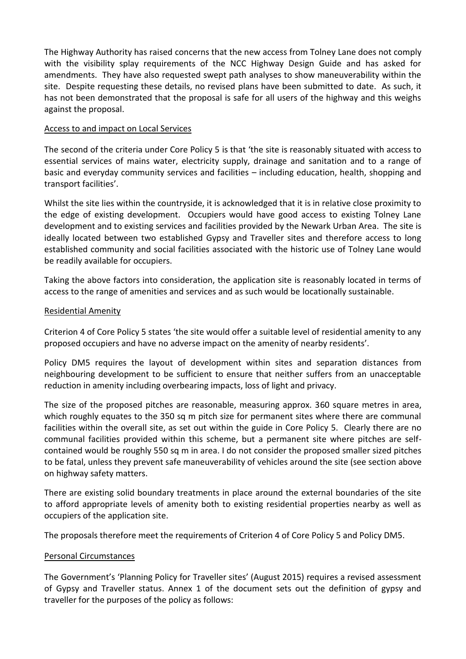The Highway Authority has raised concerns that the new access from Tolney Lane does not comply with the visibility splay requirements of the NCC Highway Design Guide and has asked for amendments. They have also requested swept path analyses to show maneuverability within the site. Despite requesting these details, no revised plans have been submitted to date. As such, it has not been demonstrated that the proposal is safe for all users of the highway and this weighs against the proposal.

### Access to and impact on Local Services

The second of the criteria under Core Policy 5 is that 'the site is reasonably situated with access to essential services of mains water, electricity supply, drainage and sanitation and to a range of basic and everyday community services and facilities – including education, health, shopping and transport facilities'.

Whilst the site lies within the countryside, it is acknowledged that it is in relative close proximity to the edge of existing development. Occupiers would have good access to existing Tolney Lane development and to existing services and facilities provided by the Newark Urban Area. The site is ideally located between two established Gypsy and Traveller sites and therefore access to long established community and social facilities associated with the historic use of Tolney Lane would be readily available for occupiers.

Taking the above factors into consideration, the application site is reasonably located in terms of access to the range of amenities and services and as such would be locationally sustainable.

## Residential Amenity

Criterion 4 of Core Policy 5 states 'the site would offer a suitable level of residential amenity to any proposed occupiers and have no adverse impact on the amenity of nearby residents'.

Policy DM5 requires the layout of development within sites and separation distances from neighbouring development to be sufficient to ensure that neither suffers from an unacceptable reduction in amenity including overbearing impacts, loss of light and privacy.

The size of the proposed pitches are reasonable, measuring approx. 360 square metres in area, which roughly equates to the 350 sq m pitch size for permanent sites where there are communal facilities within the overall site, as set out within the guide in Core Policy 5. Clearly there are no communal facilities provided within this scheme, but a permanent site where pitches are selfcontained would be roughly 550 sq m in area. I do not consider the proposed smaller sized pitches to be fatal, unless they prevent safe maneuverability of vehicles around the site (see section above on highway safety matters.

There are existing solid boundary treatments in place around the external boundaries of the site to afford appropriate levels of amenity both to existing residential properties nearby as well as occupiers of the application site.

The proposals therefore meet the requirements of Criterion 4 of Core Policy 5 and Policy DM5.

### Personal Circumstances

The Government's 'Planning Policy for Traveller sites' (August 2015) requires a revised assessment of Gypsy and Traveller status. Annex 1 of the document sets out the definition of gypsy and traveller for the purposes of the policy as follows: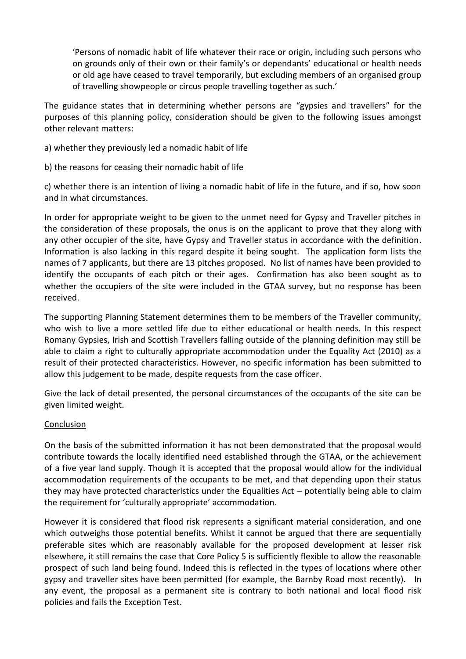'Persons of nomadic habit of life whatever their race or origin, including such persons who on grounds only of their own or their family's or dependants' educational or health needs or old age have ceased to travel temporarily, but excluding members of an organised group of travelling showpeople or circus people travelling together as such.'

The guidance states that in determining whether persons are "gypsies and travellers" for the purposes of this planning policy, consideration should be given to the following issues amongst other relevant matters:

- a) whether they previously led a nomadic habit of life
- b) the reasons for ceasing their nomadic habit of life

c) whether there is an intention of living a nomadic habit of life in the future, and if so, how soon and in what circumstances.

In order for appropriate weight to be given to the unmet need for Gypsy and Traveller pitches in the consideration of these proposals, the onus is on the applicant to prove that they along with any other occupier of the site, have Gypsy and Traveller status in accordance with the definition. Information is also lacking in this regard despite it being sought. The application form lists the names of 7 applicants, but there are 13 pitches proposed. No list of names have been provided to identify the occupants of each pitch or their ages. Confirmation has also been sought as to whether the occupiers of the site were included in the GTAA survey, but no response has been received.

The supporting Planning Statement determines them to be members of the Traveller community, who wish to live a more settled life due to either educational or health needs. In this respect Romany Gypsies, Irish and Scottish Travellers falling outside of the planning definition may still be able to claim a right to culturally appropriate accommodation under the Equality Act (2010) as a result of their protected characteristics. However, no specific information has been submitted to allow this judgement to be made, despite requests from the case officer.

Give the lack of detail presented, the personal circumstances of the occupants of the site can be given limited weight.

### Conclusion

On the basis of the submitted information it has not been demonstrated that the proposal would contribute towards the locally identified need established through the GTAA, or the achievement of a five year land supply. Though it is accepted that the proposal would allow for the individual accommodation requirements of the occupants to be met, and that depending upon their status they may have protected characteristics under the Equalities Act – potentially being able to claim the requirement for 'culturally appropriate' accommodation.

However it is considered that flood risk represents a significant material consideration, and one which outweighs those potential benefits. Whilst it cannot be argued that there are sequentially preferable sites which are reasonably available for the proposed development at lesser risk elsewhere, it still remains the case that Core Policy 5 is sufficiently flexible to allow the reasonable prospect of such land being found. Indeed this is reflected in the types of locations where other gypsy and traveller sites have been permitted (for example, the Barnby Road most recently). In any event, the proposal as a permanent site is contrary to both national and local flood risk policies and fails the Exception Test.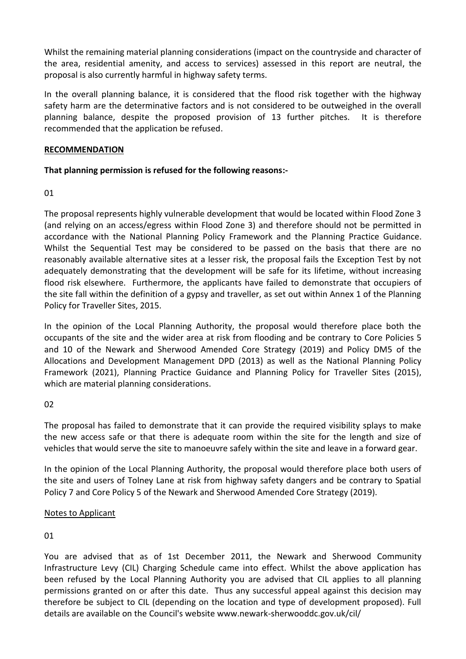Whilst the remaining material planning considerations (impact on the countryside and character of the area, residential amenity, and access to services) assessed in this report are neutral, the proposal is also currently harmful in highway safety terms.

In the overall planning balance, it is considered that the flood risk together with the highway safety harm are the determinative factors and is not considered to be outweighed in the overall planning balance, despite the proposed provision of 13 further pitches. It is therefore recommended that the application be refused.

## **RECOMMENDATION**

# **That planning permission is refused for the following reasons:-**

01

The proposal represents highly vulnerable development that would be located within Flood Zone 3 (and relying on an access/egress within Flood Zone 3) and therefore should not be permitted in accordance with the National Planning Policy Framework and the Planning Practice Guidance. Whilst the Sequential Test may be considered to be passed on the basis that there are no reasonably available alternative sites at a lesser risk, the proposal fails the Exception Test by not adequately demonstrating that the development will be safe for its lifetime, without increasing flood risk elsewhere. Furthermore, the applicants have failed to demonstrate that occupiers of the site fall within the definition of a gypsy and traveller, as set out within Annex 1 of the Planning Policy for Traveller Sites, 2015.

In the opinion of the Local Planning Authority, the proposal would therefore place both the occupants of the site and the wider area at risk from flooding and be contrary to Core Policies 5 and 10 of the Newark and Sherwood Amended Core Strategy (2019) and Policy DM5 of the Allocations and Development Management DPD (2013) as well as the National Planning Policy Framework (2021), Planning Practice Guidance and Planning Policy for Traveller Sites (2015), which are material planning considerations.

02

The proposal has failed to demonstrate that it can provide the required visibility splays to make the new access safe or that there is adequate room within the site for the length and size of vehicles that would serve the site to manoeuvre safely within the site and leave in a forward gear.

In the opinion of the Local Planning Authority, the proposal would therefore place both users of the site and users of Tolney Lane at risk from highway safety dangers and be contrary to Spatial Policy 7 and Core Policy 5 of the Newark and Sherwood Amended Core Strategy (2019).

# Notes to Applicant

# 01

You are advised that as of 1st December 2011, the Newark and Sherwood Community Infrastructure Levy (CIL) Charging Schedule came into effect. Whilst the above application has been refused by the Local Planning Authority you are advised that CIL applies to all planning permissions granted on or after this date. Thus any successful appeal against this decision may therefore be subject to CIL (depending on the location and type of development proposed). Full details are available on the Council's website www.newark-sherwooddc.gov.uk/cil/